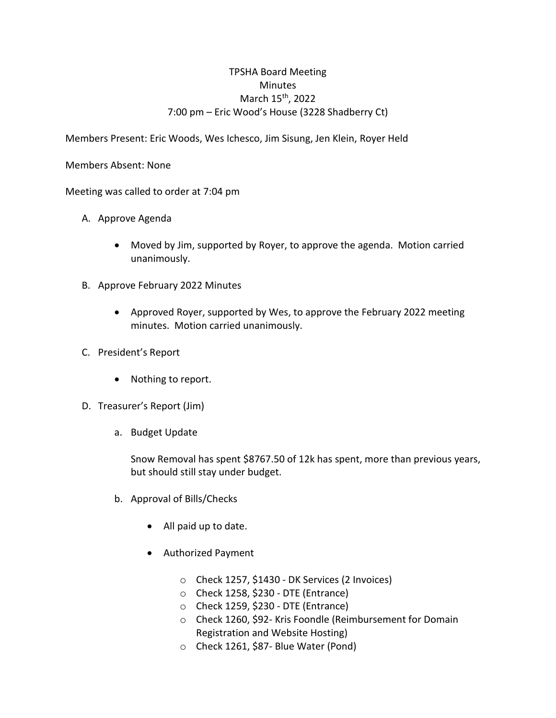## TPSHA Board Meeting Minutes March 15<sup>th</sup>, 2022 7:00 pm – Eric Wood's House (3228 Shadberry Ct)

Members Present: Eric Woods, Wes Ichesco, Jim Sisung, Jen Klein, Royer Held

Members Absent: None

Meeting was called to order at 7:04 pm

- A. Approve Agenda
	- Moved by Jim, supported by Royer, to approve the agenda. Motion carried unanimously.
- B. Approve February 2022 Minutes
	- Approved Royer, supported by Wes, to approve the February 2022 meeting minutes. Motion carried unanimously.
- C. President's Report
	- Nothing to report.
- D. Treasurer's Report (Jim)
	- a. Budget Update

Snow Removal has spent \$8767.50 of 12k has spent, more than previous years, but should still stay under budget.

- b. Approval of Bills/Checks
	- All paid up to date.
	- Authorized Payment
		- o Check 1257, \$1430 DK Services (2 Invoices)
		- o Check 1258, \$230 DTE (Entrance)
		- $\circ$  Check 1259, \$230 DTE (Entrance)
		- o Check 1260, \$92- Kris Foondle (Reimbursement for Domain Registration and Website Hosting)
		- o Check 1261, \$87- Blue Water (Pond)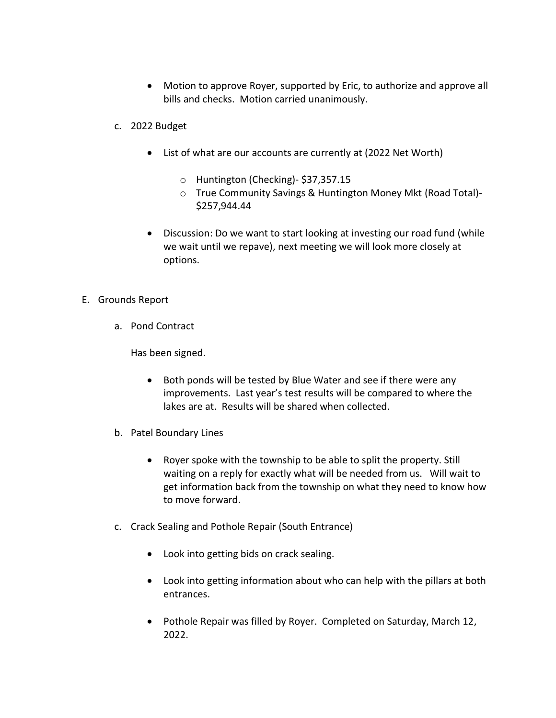- Motion to approve Royer, supported by Eric, to authorize and approve all bills and checks. Motion carried unanimously.
- c. 2022 Budget
	- List of what are our accounts are currently at (2022 Net Worth)
		- o Huntington (Checking)- \$37,357.15
		- o True Community Savings & Huntington Money Mkt (Road Total)- \$257,944.44
	- Discussion: Do we want to start looking at investing our road fund (while we wait until we repave), next meeting we will look more closely at options.
- E. Grounds Report
	- a. Pond Contract

Has been signed.

- Both ponds will be tested by Blue Water and see if there were any improvements. Last year's test results will be compared to where the lakes are at. Results will be shared when collected.
- b. Patel Boundary Lines
	- Royer spoke with the township to be able to split the property. Still waiting on a reply for exactly what will be needed from us. Will wait to get information back from the township on what they need to know how to move forward.
- c. Crack Sealing and Pothole Repair (South Entrance)
	- Look into getting bids on crack sealing.
	- Look into getting information about who can help with the pillars at both entrances.
	- Pothole Repair was filled by Royer. Completed on Saturday, March 12, 2022.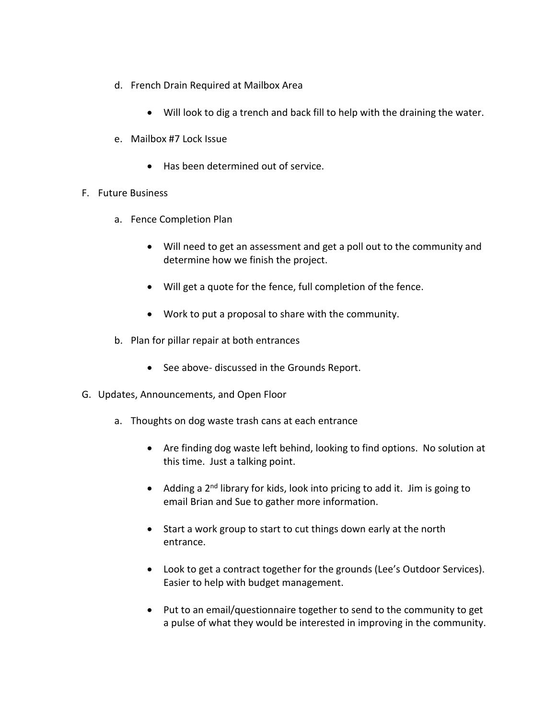- d. French Drain Required at Mailbox Area
	- Will look to dig a trench and back fill to help with the draining the water.
- e. Mailbox #7 Lock Issue
	- Has been determined out of service.
- F. Future Business
	- a. Fence Completion Plan
		- Will need to get an assessment and get a poll out to the community and determine how we finish the project.
		- Will get a quote for the fence, full completion of the fence.
		- Work to put a proposal to share with the community.
	- b. Plan for pillar repair at both entrances
		- See above- discussed in the Grounds Report.
- G. Updates, Announcements, and Open Floor
	- a. Thoughts on dog waste trash cans at each entrance
		- Are finding dog waste left behind, looking to find options. No solution at this time. Just a talking point.
		- Adding a 2<sup>nd</sup> library for kids, look into pricing to add it. Jim is going to email Brian and Sue to gather more information.
		- Start a work group to start to cut things down early at the north entrance.
		- Look to get a contract together for the grounds (Lee's Outdoor Services). Easier to help with budget management.
		- Put to an email/questionnaire together to send to the community to get a pulse of what they would be interested in improving in the community.